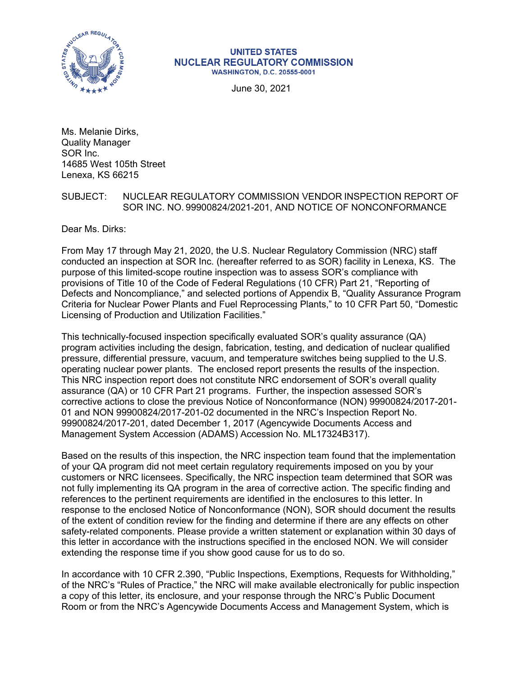

#### **UNITED STATES NUCLEAR REGULATORY COMMISSION WASHINGTON, D.C. 20555-0001**

June 30, 2021

Ms. Melanie Dirks, Quality Manager SOR Inc. 14685 West 105th Street Lenexa, KS 66215

# SUBJECT: NUCLEAR REGULATORY COMMISSION VENDOR INSPECTION REPORT OF SOR INC. NO. 99900824/2021-201, AND NOTICE OF NONCONFORMANCE

Dear Ms. Dirks:

From May 17 through May 21, 2020, the U.S. Nuclear Regulatory Commission (NRC) staff conducted an inspection at SOR Inc. (hereafter referred to as SOR) facility in Lenexa, KS. The purpose of this limited-scope routine inspection was to assess SOR's compliance with provisions of Title 10 of the Code of Federal Regulations (10 CFR) Part 21, "Reporting of Defects and Noncompliance," and selected portions of Appendix B, "Quality Assurance Program Criteria for Nuclear Power Plants and Fuel Reprocessing Plants," to 10 CFR Part 50, "Domestic Licensing of Production and Utilization Facilities."

This technically-focused inspection specifically evaluated SOR's quality assurance (QA) program activities including the design, fabrication, testing, and dedication of nuclear qualified pressure, differential pressure, vacuum, and temperature switches being supplied to the U.S. operating nuclear power plants. The enclosed report presents the results of the inspection. This NRC inspection report does not constitute NRC endorsement of SOR's overall quality assurance (QA) or 10 CFR Part 21 programs. Further, the inspection assessed SOR's corrective actions to close the previous Notice of Nonconformance (NON) 99900824/2017-201- 01 and NON 99900824/2017-201-02 documented in the NRC's Inspection Report No. 99900824/2017-201, dated December 1, 2017 (Agencywide Documents Access and Management System Accession (ADAMS) Accession No. ML17324B317).

Based on the results of this inspection, the NRC inspection team found that the implementation of your QA program did not meet certain regulatory requirements imposed on you by your customers or NRC licensees. Specifically, the NRC inspection team determined that SOR was not fully implementing its QA program in the area of corrective action. The specific finding and references to the pertinent requirements are identified in the enclosures to this letter. In response to the enclosed Notice of Nonconformance (NON), SOR should document the results of the extent of condition review for the finding and determine if there are any effects on other safety-related components. Please provide a written statement or explanation within 30 days of this letter in accordance with the instructions specified in the enclosed NON. We will consider extending the response time if you show good cause for us to do so.

In accordance with 10 CFR 2.390, "Public Inspections, Exemptions, Requests for Withholding," of the NRC's "Rules of Practice," the NRC will make available electronically for public inspection a copy of this letter, its enclosure, and your response through the NRC's Public Document Room or from the NRC's Agencywide Documents Access and Management System, which is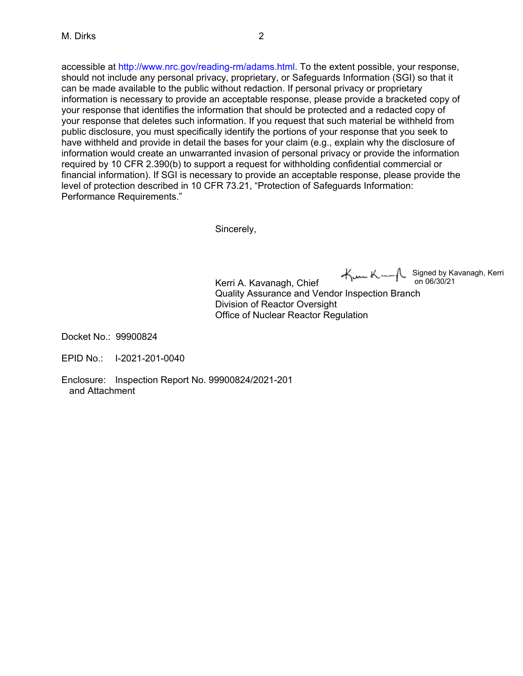accessible at http://www.nrc.gov/reading-rm/adams.html. To the extent possible, your response, should not include any personal privacy, proprietary, or Safeguards Information (SGI) so that it can be made available to the public without redaction. If personal privacy or proprietary information is necessary to provide an acceptable response, please provide a bracketed copy of your response that identifies the information that should be protected and a redacted copy of your response that deletes such information. If you request that such material be withheld from public disclosure, you must specifically identify the portions of your response that you seek to have withheld and provide in detail the bases for your claim (e.g., explain why the disclosure of information would create an unwarranted invasion of personal privacy or provide the information required by 10 CFR 2.390(b) to support a request for withholding confidential commercial or financial information). If SGI is necessary to provide an acceptable response, please provide the level of protection described in 10 CFR 73.21, "Protection of Safeguards Information: Performance Requirements."

Sincerely,

Kerri A. Kavanagh, Chief Quality Assurance and Vendor Inspection Branch Division of Reactor Oversight Office of Nuclear Reactor Regulation Signed by Kavanagh, Kerri on 06/30/21

Docket No.: 99900824

EPID No.: I-2021-201-0040

Enclosure: Inspection Report No. 99900824/2021-201 and Attachment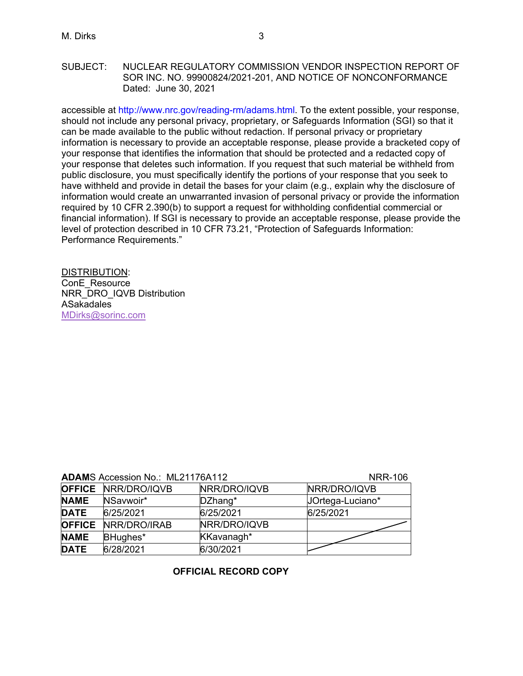## SUBJECT: NUCLEAR REGULATORY COMMISSION VENDOR INSPECTION REPORT OF SOR INC. NO. 99900824/2021-201, AND NOTICE OF NONCONFORMANCE Dated: June 30, 2021

accessible at http://www.nrc.gov/reading-rm/adams.html. To the extent possible, your response, should not include any personal privacy, proprietary, or Safeguards Information (SGI) so that it can be made available to the public without redaction. If personal privacy or proprietary information is necessary to provide an acceptable response, please provide a bracketed copy of your response that identifies the information that should be protected and a redacted copy of your response that deletes such information. If you request that such material be withheld from public disclosure, you must specifically identify the portions of your response that you seek to have withheld and provide in detail the bases for your claim (e.g., explain why the disclosure of information would create an unwarranted invasion of personal privacy or provide the information required by 10 CFR 2.390(b) to support a request for withholding confidential commercial or financial information). If SGI is necessary to provide an acceptable response, please provide the level of protection described in 10 CFR 73.21, "Protection of Safeguards Information: Performance Requirements."

DISTRIBUTION: ConE\_Resource NRR\_DRO\_IQVB Distribution ASakadales [MDirks@sorinc.com](mailto:MDirks@sorinc.com)

|  | <b>ADAMS Accession No.: ML21176A112</b> |  | <b>NRR-106</b> |
|--|-----------------------------------------|--|----------------|
|--|-----------------------------------------|--|----------------|

|               | <b>OFFICE NRR/DRO/IQVB</b> | NRR/DRO/IQVB | NRR/DRO/IQVB     |
|---------------|----------------------------|--------------|------------------|
| <b>NAME</b>   | NSavwoir*                  | DZhang*      | JOrtega-Luciano* |
| <b>DATE</b>   | 6/25/2021                  | 6/25/2021    | 6/25/2021        |
| <b>OFFICE</b> | NRR/DRO/IRAB               | NRR/DRO/IQVB |                  |
| <b>NAME</b>   | BHughes*                   | KKavanagh*   |                  |
| <b>DATE</b>   | 6/28/2021                  | 6/30/2021    |                  |

# **OFFICIAL RECORD COPY**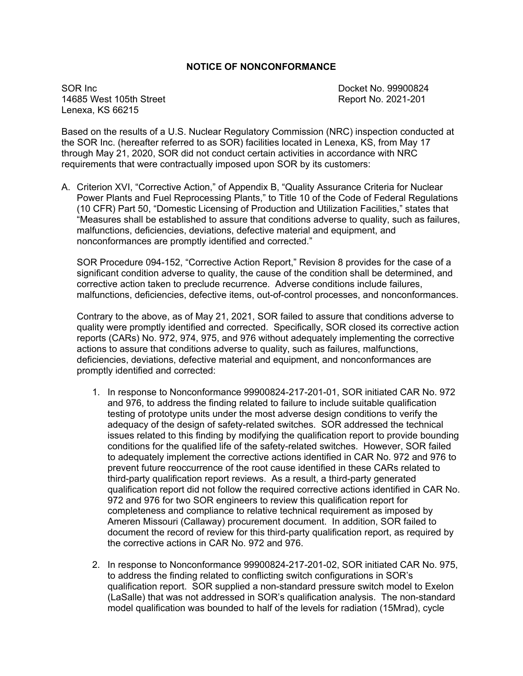# **NOTICE OF NONCONFORMANCE**

SOR Inc. **SOR Inc. SOR Inc. SOR Inc. CONSUMING A SOR INC. Docket No. 99900824** 14685 West 105th Street Report No. 2021-201 Lenexa, KS 66215

Based on the results of a U.S. Nuclear Regulatory Commission (NRC) inspection conducted at the SOR Inc. (hereafter referred to as SOR) facilities located in Lenexa, KS, from May 17 through May 21, 2020, SOR did not conduct certain activities in accordance with NRC requirements that were contractually imposed upon SOR by its customers:

A. Criterion XVI, "Corrective Action," of Appendix B, "Quality Assurance Criteria for Nuclear Power Plants and Fuel Reprocessing Plants," to Title 10 of the Code of Federal Regulations (10 CFR) Part 50, "Domestic Licensing of Production and Utilization Facilities," states that "Measures shall be established to assure that conditions adverse to quality, such as failures, malfunctions, deficiencies, deviations, defective material and equipment, and nonconformances are promptly identified and corrected."

SOR Procedure 094-152, "Corrective Action Report," Revision 8 provides for the case of a significant condition adverse to quality, the cause of the condition shall be determined, and corrective action taken to preclude recurrence. Adverse conditions include failures, malfunctions, deficiencies, defective items, out-of-control processes, and nonconformances.

Contrary to the above, as of May 21, 2021, SOR failed to assure that conditions adverse to quality were promptly identified and corrected. Specifically, SOR closed its corrective action reports (CARs) No. 972, 974, 975, and 976 without adequately implementing the corrective actions to assure that conditions adverse to quality, such as failures, malfunctions, deficiencies, deviations, defective material and equipment, and nonconformances are promptly identified and corrected:

- 1. In response to Nonconformance 99900824-217-201-01, SOR initiated CAR No. 972 and 976, to address the finding related to failure to include suitable qualification testing of prototype units under the most adverse design conditions to verify the adequacy of the design of safety-related switches. SOR addressed the technical issues related to this finding by modifying the qualification report to provide bounding conditions for the qualified life of the safety-related switches. However, SOR failed to adequately implement the corrective actions identified in CAR No. 972 and 976 to prevent future reoccurrence of the root cause identified in these CARs related to third-party qualification report reviews. As a result, a third-party generated qualification report did not follow the required corrective actions identified in CAR No. 972 and 976 for two SOR engineers to review this qualification report for completeness and compliance to relative technical requirement as imposed by Ameren Missouri (Callaway) procurement document. In addition, SOR failed to document the record of review for this third-party qualification report, as required by the corrective actions in CAR No. 972 and 976.
- 2. In response to Nonconformance 99900824-217-201-02, SOR initiated CAR No. 975, to address the finding related to conflicting switch configurations in SOR's qualification report. SOR supplied a non-standard pressure switch model to Exelon (LaSalle) that was not addressed in SOR's qualification analysis. The non-standard model qualification was bounded to half of the levels for radiation (15Mrad), cycle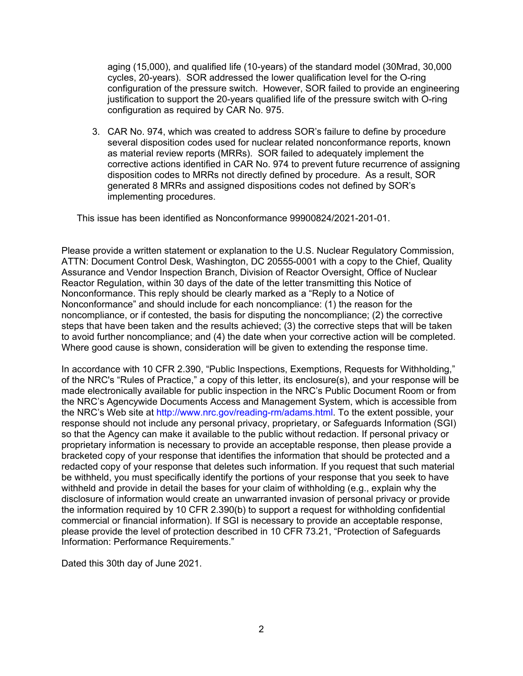aging (15,000), and qualified life (10-years) of the standard model (30Mrad, 30,000 cycles, 20-years). SOR addressed the lower qualification level for the O-ring configuration of the pressure switch. However, SOR failed to provide an engineering justification to support the 20-years qualified life of the pressure switch with O-ring configuration as required by CAR No. 975.

3. CAR No. 974, which was created to address SOR's failure to define by procedure several disposition codes used for nuclear related nonconformance reports, known as material review reports (MRRs). SOR failed to adequately implement the corrective actions identified in CAR No. 974 to prevent future recurrence of assigning disposition codes to MRRs not directly defined by procedure. As a result, SOR generated 8 MRRs and assigned dispositions codes not defined by SOR's implementing procedures.

This issue has been identified as Nonconformance 99900824/2021-201-01.

Please provide a written statement or explanation to the U.S. Nuclear Regulatory Commission, ATTN: Document Control Desk, Washington, DC 20555-0001 with a copy to the Chief, Quality Assurance and Vendor Inspection Branch, Division of Reactor Oversight, Office of Nuclear Reactor Regulation, within 30 days of the date of the letter transmitting this Notice of Nonconformance. This reply should be clearly marked as a "Reply to a Notice of Nonconformance" and should include for each noncompliance: (1) the reason for the noncompliance, or if contested, the basis for disputing the noncompliance; (2) the corrective steps that have been taken and the results achieved; (3) the corrective steps that will be taken to avoid further noncompliance; and (4) the date when your corrective action will be completed. Where good cause is shown, consideration will be given to extending the response time.

In accordance with 10 CFR 2.390, "Public Inspections, Exemptions, Requests for Withholding," of the NRC's "Rules of Practice," a copy of this letter, its enclosure(s), and your response will be made electronically available for public inspection in the NRC's Public Document Room or from the NRC's Agencywide Documents Access and Management System, which is accessible from the NRC's Web site at http://www.nrc.gov/reading-rm/adams.html. To the extent possible, your response should not include any personal privacy, proprietary, or Safeguards Information (SGI) so that the Agency can make it available to the public without redaction. If personal privacy or proprietary information is necessary to provide an acceptable response, then please provide a bracketed copy of your response that identifies the information that should be protected and a redacted copy of your response that deletes such information. If you request that such material be withheld, you must specifically identify the portions of your response that you seek to have withheld and provide in detail the bases for your claim of withholding (e.g., explain why the disclosure of information would create an unwarranted invasion of personal privacy or provide the information required by 10 CFR 2.390(b) to support a request for withholding confidential commercial or financial information). If SGI is necessary to provide an acceptable response, please provide the level of protection described in 10 CFR 73.21, "Protection of Safeguards Information: Performance Requirements."

Dated this 30th day of June 2021.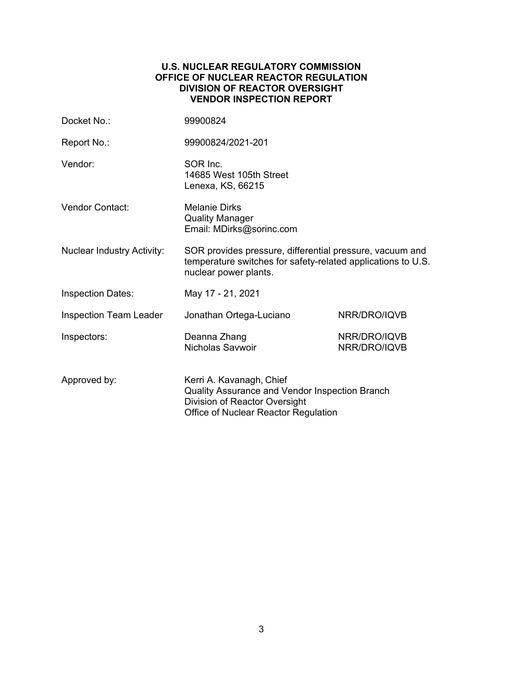## **U.S. NUCLEAR REGULATORY COMMISSION OFFICE OF NUCLEAR REACTOR REGULATION DIVISION OF REACTOR OVERSIGHT VENDOR INSPECTION REPORT**

| Docket No.:                       | 99900824                                                                                                                                            |                              |  |
|-----------------------------------|-----------------------------------------------------------------------------------------------------------------------------------------------------|------------------------------|--|
| Report No.:                       | 99900824/2021-201                                                                                                                                   |                              |  |
| Vendor:                           | SOR Inc.<br>14685 West 105th Street<br>Lenexa, KS, 66215                                                                                            |                              |  |
| Vendor Contact:                   | <b>Melanie Dirks</b><br><b>Quality Manager</b><br>Email: MDirks@sorinc.com                                                                          |                              |  |
| <b>Nuclear Industry Activity:</b> | SOR provides pressure, differential pressure, vacuum and<br>temperature switches for safety-related applications to U.S.<br>nuclear power plants.   |                              |  |
| <b>Inspection Dates:</b>          | May 17 - 21, 2021                                                                                                                                   |                              |  |
| <b>Inspection Team Leader</b>     | Jonathan Ortega-Luciano                                                                                                                             | NRR/DRO/IQVB                 |  |
| Inspectors:                       | Deanna Zhang<br>Nicholas Savwoir                                                                                                                    | NRR/DRO/IQVB<br>NRR/DRO/IQVB |  |
| Approved by:                      | Kerri A. Kavanagh, Chief<br>Quality Assurance and Vendor Inspection Branch<br>Division of Reactor Oversight<br>Office of Nuclear Reactor Regulation |                              |  |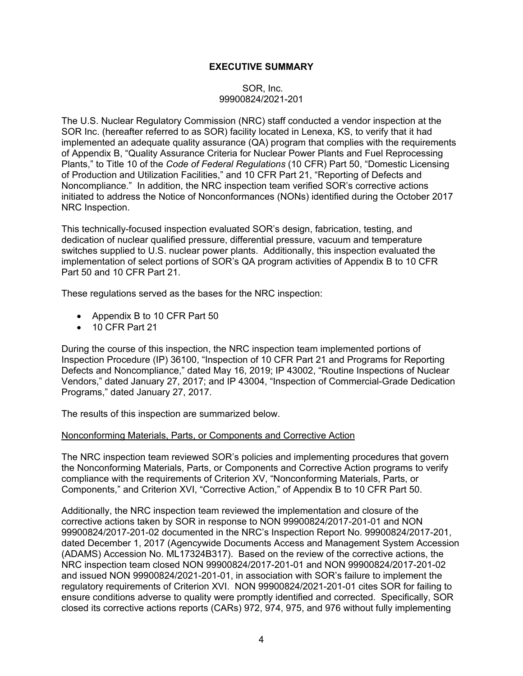# **EXECUTIVE SUMMARY**

## SOR, Inc. 99900824/2021-201

The U.S. Nuclear Regulatory Commission (NRC) staff conducted a vendor inspection at the SOR Inc. (hereafter referred to as SOR) facility located in Lenexa, KS, to verify that it had implemented an adequate quality assurance (QA) program that complies with the requirements of Appendix B, "Quality Assurance Criteria for Nuclear Power Plants and Fuel Reprocessing Plants," to Title 10 of the *Code of Federal Regulations* (10 CFR) Part 50, "Domestic Licensing of Production and Utilization Facilities," and 10 CFR Part 21, "Reporting of Defects and Noncompliance." In addition, the NRC inspection team verified SOR's corrective actions initiated to address the Notice of Nonconformances (NONs) identified during the October 2017 NRC Inspection.

This technically-focused inspection evaluated SOR's design, fabrication, testing, and dedication of nuclear qualified pressure, differential pressure, vacuum and temperature switches supplied to U.S. nuclear power plants. Additionally, this inspection evaluated the implementation of select portions of SOR's QA program activities of Appendix B to 10 CFR Part 50 and 10 CFR Part 21.

These regulations served as the bases for the NRC inspection:

- Appendix B to 10 CFR Part 50
- 10 CFR Part 21

During the course of this inspection, the NRC inspection team implemented portions of Inspection Procedure (IP) 36100, "Inspection of 10 CFR Part 21 and Programs for Reporting Defects and Noncompliance," dated May 16, 2019; IP 43002, "Routine Inspections of Nuclear Vendors," dated January 27, 2017; and IP 43004, "Inspection of Commercial-Grade Dedication Programs," dated January 27, 2017.

The results of this inspection are summarized below.

#### Nonconforming Materials, Parts, or Components and Corrective Action

The NRC inspection team reviewed SOR's policies and implementing procedures that govern the Nonconforming Materials, Parts, or Components and Corrective Action programs to verify compliance with the requirements of Criterion XV, "Nonconforming Materials, Parts, or Components," and Criterion XVI, "Corrective Action," of Appendix B to 10 CFR Part 50.

Additionally, the NRC inspection team reviewed the implementation and closure of the corrective actions taken by SOR in response to NON 99900824/2017-201-01 and NON 99900824/2017-201-02 documented in the NRC's Inspection Report No. 99900824/2017-201, dated December 1, 2017 (Agencywide Documents Access and Management System Accession (ADAMS) Accession No. ML17324B317). Based on the review of the corrective actions, the NRC inspection team closed NON 99900824/2017-201-01 and NON 99900824/2017-201-02 and issued NON 99900824/2021-201-01, in association with SOR's failure to implement the regulatory requirements of Criterion XVI. NON 99900824/2021-201-01 cites SOR for failing to ensure conditions adverse to quality were promptly identified and corrected. Specifically, SOR closed its corrective actions reports (CARs) 972, 974, 975, and 976 without fully implementing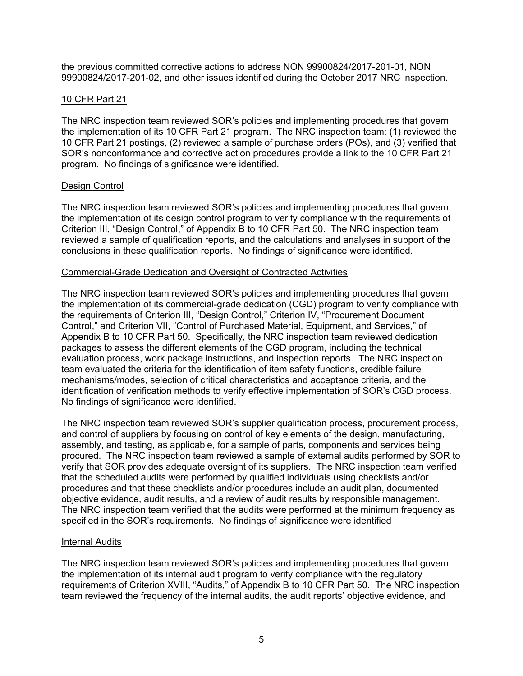the previous committed corrective actions to address NON 99900824/2017-201-01, NON 99900824/2017-201-02, and other issues identified during the October 2017 NRC inspection.

# 10 CFR Part 21

The NRC inspection team reviewed SOR's policies and implementing procedures that govern the implementation of its 10 CFR Part 21 program. The NRC inspection team: (1) reviewed the 10 CFR Part 21 postings, (2) reviewed a sample of purchase orders (POs), and (3) verified that SOR's nonconformance and corrective action procedures provide a link to the 10 CFR Part 21 program. No findings of significance were identified.

### Design Control

The NRC inspection team reviewed SOR's policies and implementing procedures that govern the implementation of its design control program to verify compliance with the requirements of Criterion III, "Design Control," of Appendix B to 10 CFR Part 50. The NRC inspection team reviewed a sample of qualification reports, and the calculations and analyses in support of the conclusions in these qualification reports. No findings of significance were identified.

#### Commercial-Grade Dedication and Oversight of Contracted Activities

The NRC inspection team reviewed SOR's policies and implementing procedures that govern the implementation of its commercial-grade dedication (CGD) program to verify compliance with the requirements of Criterion III, "Design Control," Criterion IV, "Procurement Document Control," and Criterion VII, "Control of Purchased Material, Equipment, and Services," of Appendix B to 10 CFR Part 50. Specifically, the NRC inspection team reviewed dedication packages to assess the different elements of the CGD program, including the technical evaluation process, work package instructions, and inspection reports. The NRC inspection team evaluated the criteria for the identification of item safety functions, credible failure mechanisms/modes, selection of critical characteristics and acceptance criteria, and the identification of verification methods to verify effective implementation of SOR's CGD process. No findings of significance were identified.

The NRC inspection team reviewed SOR's supplier qualification process, procurement process, and control of suppliers by focusing on control of key elements of the design, manufacturing, assembly, and testing, as applicable, for a sample of parts, components and services being procured. The NRC inspection team reviewed a sample of external audits performed by SOR to verify that SOR provides adequate oversight of its suppliers. The NRC inspection team verified that the scheduled audits were performed by qualified individuals using checklists and/or procedures and that these checklists and/or procedures include an audit plan, documented objective evidence, audit results, and a review of audit results by responsible management. The NRC inspection team verified that the audits were performed at the minimum frequency as specified in the SOR's requirements. No findings of significance were identified

#### Internal Audits

The NRC inspection team reviewed SOR's policies and implementing procedures that govern the implementation of its internal audit program to verify compliance with the regulatory requirements of Criterion XVIII, "Audits," of Appendix B to 10 CFR Part 50. The NRC inspection team reviewed the frequency of the internal audits, the audit reports' objective evidence, and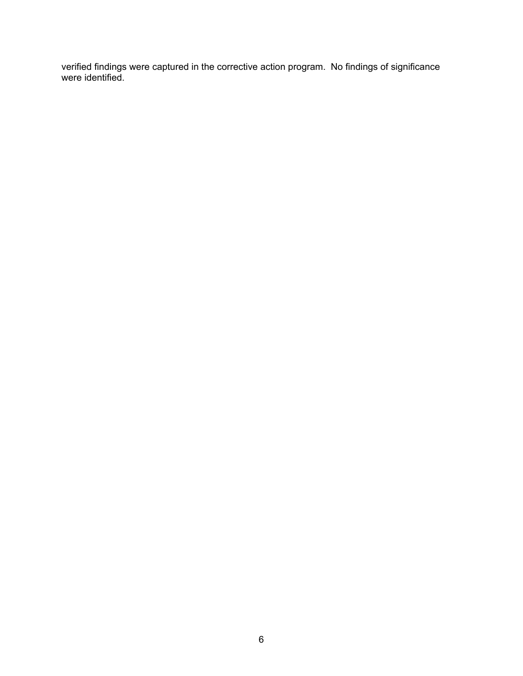verified findings were captured in the corrective action program. No findings of significance were identified.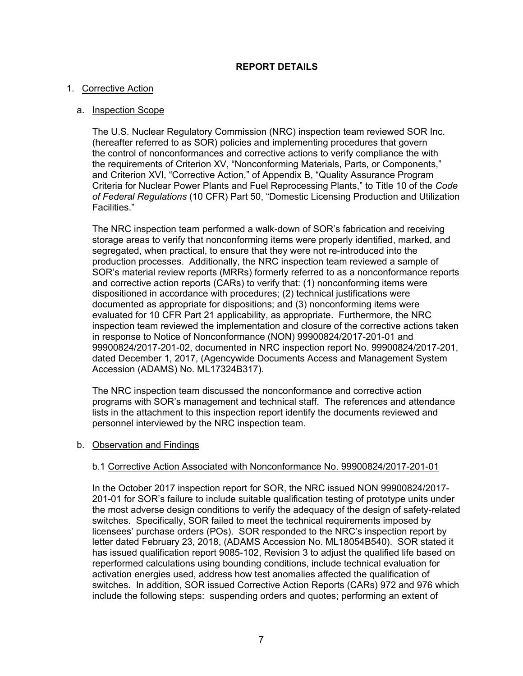# **REPORT DETAILS**

## 1. Corrective Action

## a. Inspection Scope

The U.S. Nuclear Regulatory Commission (NRC) inspection team reviewed SOR Inc. (hereafter referred to as SOR) policies and implementing procedures that govern the control of nonconformances and corrective actions to verify compliance the with the requirements of Criterion XV, "Nonconforming Materials, Parts, or Components," and Criterion XVI, "Corrective Action," of Appendix B, "Quality Assurance Program Criteria for Nuclear Power Plants and Fuel Reprocessing Plants," to Title 10 of the *Code of Federal Regulations* (10 CFR) Part 50, "Domestic Licensing Production and Utilization Facilities."

The NRC inspection team performed a walk-down of SOR's fabrication and receiving storage areas to verify that nonconforming items were properly identified, marked, and segregated, when practical, to ensure that they were not re-introduced into the production processes. Additionally, the NRC inspection team reviewed a sample of SOR's material review reports (MRRs) formerly referred to as a nonconformance reports and corrective action reports (CARs) to verify that: (1) nonconforming items were dispositioned in accordance with procedures; (2) technical justifications were documented as appropriate for dispositions; and (3) nonconforming items were evaluated for 10 CFR Part 21 applicability, as appropriate. Furthermore, the NRC inspection team reviewed the implementation and closure of the corrective actions taken in response to Notice of Nonconformance (NON) 99900824/2017-201-01 and 99900824/2017-201-02, documented in NRC inspection report No. 99900824/2017-201, dated December 1, 2017, (Agencywide Documents Access and Management System Accession (ADAMS) No. ML17324B317).

The NRC inspection team discussed the nonconformance and corrective action programs with SOR's management and technical staff. The references and attendance lists in the attachment to this inspection report identify the documents reviewed and personnel interviewed by the NRC inspection team.

#### b. Observation and Findings

# b.1 Corrective Action Associated with Nonconformance No. 99900824/2017-201-01

In the October 2017 inspection report for SOR, the NRC issued NON 99900824/2017- 201-01 for SOR's failure to include suitable qualification testing of prototype units under the most adverse design conditions to verify the adequacy of the design of safety-related switches. Specifically, SOR failed to meet the technical requirements imposed by licensees' purchase orders (POs). SOR responded to the NRC's inspection report by letter dated February 23, 2018, (ADAMS Accession No. ML18054B540). SOR stated it has issued qualification report 9085-102, Revision 3 to adjust the qualified life based on reperformed calculations using bounding conditions, include technical evaluation for activation energies used, address how test anomalies affected the qualification of switches. In addition, SOR issued Corrective Action Reports (CARs) 972 and 976 which include the following steps: suspending orders and quotes; performing an extent of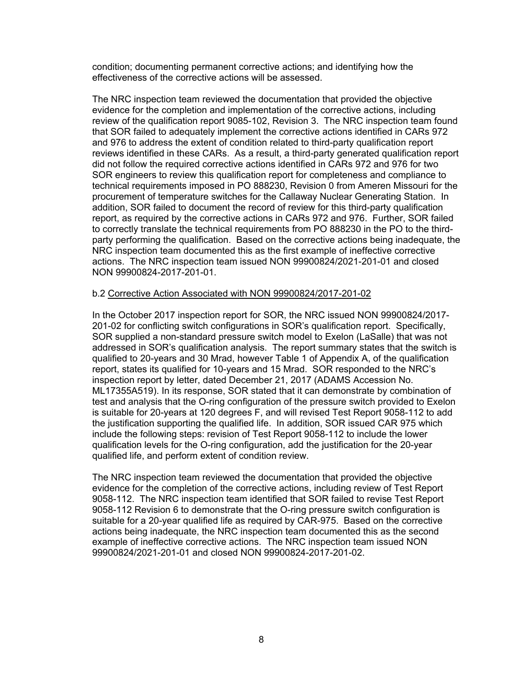condition; documenting permanent corrective actions; and identifying how the effectiveness of the corrective actions will be assessed.

The NRC inspection team reviewed the documentation that provided the objective evidence for the completion and implementation of the corrective actions, including review of the qualification report 9085-102, Revision 3. The NRC inspection team found that SOR failed to adequately implement the corrective actions identified in CARs 972 and 976 to address the extent of condition related to third-party qualification report reviews identified in these CARs. As a result, a third-party generated qualification report did not follow the required corrective actions identified in CARs 972 and 976 for two SOR engineers to review this qualification report for completeness and compliance to technical requirements imposed in PO 888230, Revision 0 from Ameren Missouri for the procurement of temperature switches for the Callaway Nuclear Generating Station. In addition, SOR failed to document the record of review for this third-party qualification report, as required by the corrective actions in CARs 972 and 976. Further, SOR failed to correctly translate the technical requirements from PO 888230 in the PO to the thirdparty performing the qualification. Based on the corrective actions being inadequate, the NRC inspection team documented this as the first example of ineffective corrective actions. The NRC inspection team issued NON 99900824/2021-201-01 and closed NON 99900824-2017-201-01.

### b.2 Corrective Action Associated with NON 99900824/2017-201-02

In the October 2017 inspection report for SOR, the NRC issued NON 99900824/2017- 201-02 for conflicting switch configurations in SOR's qualification report. Specifically, SOR supplied a non-standard pressure switch model to Exelon (LaSalle) that was not addressed in SOR's qualification analysis. The report summary states that the switch is qualified to 20-years and 30 Mrad, however Table 1 of Appendix A, of the qualification report, states its qualified for 10-years and 15 Mrad. SOR responded to the NRC's inspection report by letter, dated December 21, 2017 (ADAMS Accession No. ML17355A519). In its response, SOR stated that it can demonstrate by combination of test and analysis that the O-ring configuration of the pressure switch provided to Exelon is suitable for 20-years at 120 degrees F, and will revised Test Report 9058-112 to add the justification supporting the qualified life. In addition, SOR issued CAR 975 which include the following steps: revision of Test Report 9058-112 to include the lower qualification levels for the O-ring configuration, add the justification for the 20-year qualified life, and perform extent of condition review.

The NRC inspection team reviewed the documentation that provided the objective evidence for the completion of the corrective actions, including review of Test Report 9058-112. The NRC inspection team identified that SOR failed to revise Test Report 9058-112 Revision 6 to demonstrate that the O-ring pressure switch configuration is suitable for a 20-year qualified life as required by CAR-975. Based on the corrective actions being inadequate, the NRC inspection team documented this as the second example of ineffective corrective actions. The NRC inspection team issued NON 99900824/2021-201-01 and closed NON 99900824-2017-201-02.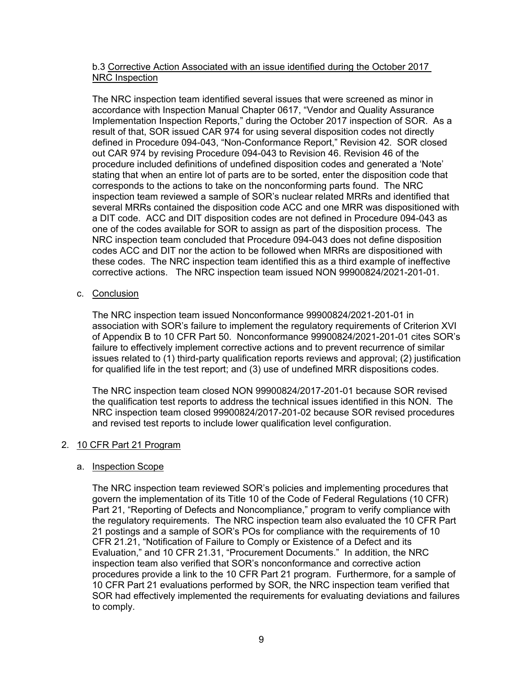## b.3 Corrective Action Associated with an issue identified during the October 2017 NRC Inspection

The NRC inspection team identified several issues that were screened as minor in accordance with Inspection Manual Chapter 0617, "Vendor and Quality Assurance Implementation Inspection Reports," during the October 2017 inspection of SOR. As a result of that, SOR issued CAR 974 for using several disposition codes not directly defined in Procedure 094-043, "Non-Conformance Report," Revision 42. SOR closed out CAR 974 by revising Procedure 094-043 to Revision 46. Revision 46 of the procedure included definitions of undefined disposition codes and generated a 'Note' stating that when an entire lot of parts are to be sorted, enter the disposition code that corresponds to the actions to take on the nonconforming parts found. The NRC inspection team reviewed a sample of SOR's nuclear related MRRs and identified that several MRRs contained the disposition code ACC and one MRR was dispositioned with a DIT code. ACC and DIT disposition codes are not defined in Procedure 094-043 as one of the codes available for SOR to assign as part of the disposition process. The NRC inspection team concluded that Procedure 094-043 does not define disposition codes ACC and DIT nor the action to be followed when MRRs are dispositioned with these codes. The NRC inspection team identified this as a third example of ineffective corrective actions. The NRC inspection team issued NON 99900824/2021-201-01.

### c. Conclusion

The NRC inspection team issued Nonconformance 99900824/2021-201-01 in association with SOR's failure to implement the regulatory requirements of Criterion XVI of Appendix B to 10 CFR Part 50. Nonconformance 99900824/2021-201-01 cites SOR's failure to effectively implement corrective actions and to prevent recurrence of similar issues related to (1) third-party qualification reports reviews and approval; (2) justification for qualified life in the test report; and (3) use of undefined MRR dispositions codes.

The NRC inspection team closed NON 99900824/2017-201-01 because SOR revised the qualification test reports to address the technical issues identified in this NON. The NRC inspection team closed 99900824/2017-201-02 because SOR revised procedures and revised test reports to include lower qualification level configuration.

# 2. 10 CFR Part 21 Program

#### a. Inspection Scope

The NRC inspection team reviewed SOR's policies and implementing procedures that govern the implementation of its Title 10 of the Code of Federal Regulations (10 CFR) Part 21, "Reporting of Defects and Noncompliance," program to verify compliance with the regulatory requirements. The NRC inspection team also evaluated the 10 CFR Part 21 postings and a sample of SOR's POs for compliance with the requirements of 10 CFR 21.21, "Notification of Failure to Comply or Existence of a Defect and its Evaluation," and 10 CFR 21.31, "Procurement Documents." In addition, the NRC inspection team also verified that SOR's nonconformance and corrective action procedures provide a link to the 10 CFR Part 21 program. Furthermore, for a sample of 10 CFR Part 21 evaluations performed by SOR, the NRC inspection team verified that SOR had effectively implemented the requirements for evaluating deviations and failures to comply.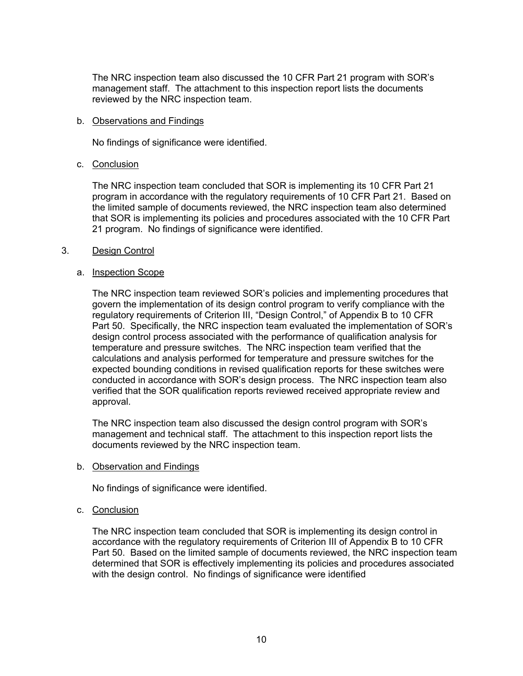The NRC inspection team also discussed the 10 CFR Part 21 program with SOR's management staff. The attachment to this inspection report lists the documents reviewed by the NRC inspection team.

#### b. Observations and Findings

No findings of significance were identified.

### c. Conclusion

The NRC inspection team concluded that SOR is implementing its 10 CFR Part 21 program in accordance with the regulatory requirements of 10 CFR Part 21. Based on the limited sample of documents reviewed, the NRC inspection team also determined that SOR is implementing its policies and procedures associated with the 10 CFR Part 21 program. No findings of significance were identified.

### 3. Design Control

### a. Inspection Scope

The NRC inspection team reviewed SOR's policies and implementing procedures that govern the implementation of its design control program to verify compliance with the regulatory requirements of Criterion III, "Design Control," of Appendix B to 10 CFR Part 50. Specifically, the NRC inspection team evaluated the implementation of SOR's design control process associated with the performance of qualification analysis for temperature and pressure switches. The NRC inspection team verified that the calculations and analysis performed for temperature and pressure switches for the expected bounding conditions in revised qualification reports for these switches were conducted in accordance with SOR's design process. The NRC inspection team also verified that the SOR qualification reports reviewed received appropriate review and approval.

The NRC inspection team also discussed the design control program with SOR's management and technical staff. The attachment to this inspection report lists the documents reviewed by the NRC inspection team.

#### b. Observation and Findings

No findings of significance were identified.

# c. Conclusion

The NRC inspection team concluded that SOR is implementing its design control in accordance with the regulatory requirements of Criterion III of Appendix B to 10 CFR Part 50. Based on the limited sample of documents reviewed, the NRC inspection team determined that SOR is effectively implementing its policies and procedures associated with the design control. No findings of significance were identified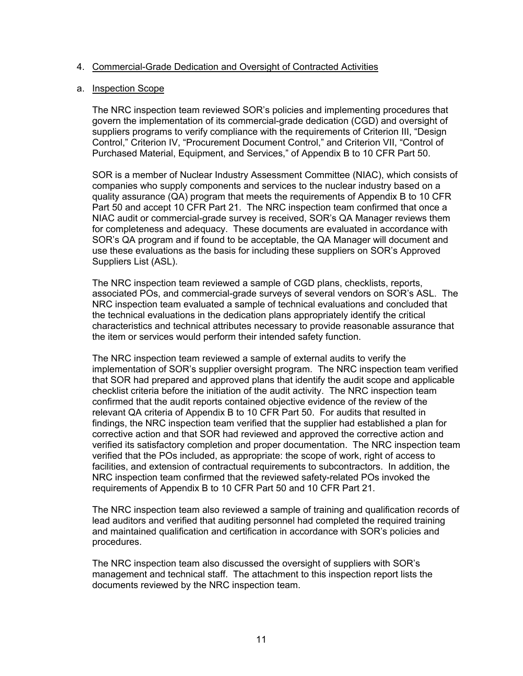#### 4. Commercial-Grade Dedication and Oversight of Contracted Activities

#### a. Inspection Scope

The NRC inspection team reviewed SOR's policies and implementing procedures that govern the implementation of its commercial-grade dedication (CGD) and oversight of suppliers programs to verify compliance with the requirements of Criterion III, "Design Control," Criterion IV, "Procurement Document Control," and Criterion VII, "Control of Purchased Material, Equipment, and Services," of Appendix B to 10 CFR Part 50.

SOR is a member of Nuclear Industry Assessment Committee (NIAC), which consists of companies who supply components and services to the nuclear industry based on a quality assurance (QA) program that meets the requirements of Appendix B to 10 CFR Part 50 and accept 10 CFR Part 21. The NRC inspection team confirmed that once a NIAC audit or commercial-grade survey is received, SOR's QA Manager reviews them for completeness and adequacy. These documents are evaluated in accordance with SOR's QA program and if found to be acceptable, the QA Manager will document and use these evaluations as the basis for including these suppliers on SOR's Approved Suppliers List (ASL).

The NRC inspection team reviewed a sample of CGD plans, checklists, reports, associated POs, and commercial-grade surveys of several vendors on SOR's ASL. The NRC inspection team evaluated a sample of technical evaluations and concluded that the technical evaluations in the dedication plans appropriately identify the critical characteristics and technical attributes necessary to provide reasonable assurance that the item or services would perform their intended safety function.

The NRC inspection team reviewed a sample of external audits to verify the implementation of SOR's supplier oversight program. The NRC inspection team verified that SOR had prepared and approved plans that identify the audit scope and applicable checklist criteria before the initiation of the audit activity. The NRC inspection team confirmed that the audit reports contained objective evidence of the review of the relevant QA criteria of Appendix B to 10 CFR Part 50. For audits that resulted in findings, the NRC inspection team verified that the supplier had established a plan for corrective action and that SOR had reviewed and approved the corrective action and verified its satisfactory completion and proper documentation. The NRC inspection team verified that the POs included, as appropriate: the scope of work, right of access to facilities, and extension of contractual requirements to subcontractors. In addition, the NRC inspection team confirmed that the reviewed safety-related POs invoked the requirements of Appendix B to 10 CFR Part 50 and 10 CFR Part 21.

The NRC inspection team also reviewed a sample of training and qualification records of lead auditors and verified that auditing personnel had completed the required training and maintained qualification and certification in accordance with SOR's policies and procedures.

The NRC inspection team also discussed the oversight of suppliers with SOR's management and technical staff. The attachment to this inspection report lists the documents reviewed by the NRC inspection team.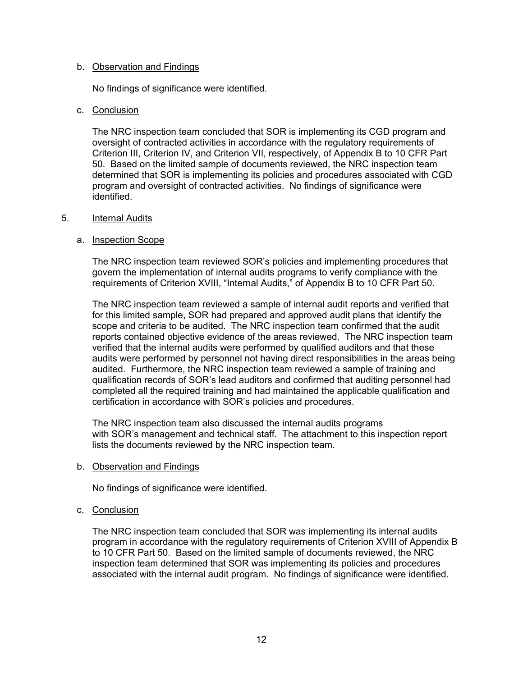#### b. Observation and Findings

No findings of significance were identified.

### c. Conclusion

The NRC inspection team concluded that SOR is implementing its CGD program and oversight of contracted activities in accordance with the regulatory requirements of Criterion III, Criterion IV, and Criterion VII, respectively, of Appendix B to 10 CFR Part 50. Based on the limited sample of documents reviewed, the NRC inspection team determined that SOR is implementing its policies and procedures associated with CGD program and oversight of contracted activities. No findings of significance were identified.

#### 5. Internal Audits

### a. Inspection Scope

The NRC inspection team reviewed SOR's policies and implementing procedures that govern the implementation of internal audits programs to verify compliance with the requirements of Criterion XVIII, "Internal Audits," of Appendix B to 10 CFR Part 50.

The NRC inspection team reviewed a sample of internal audit reports and verified that for this limited sample, SOR had prepared and approved audit plans that identify the scope and criteria to be audited. The NRC inspection team confirmed that the audit reports contained objective evidence of the areas reviewed. The NRC inspection team verified that the internal audits were performed by qualified auditors and that these audits were performed by personnel not having direct responsibilities in the areas being audited. Furthermore, the NRC inspection team reviewed a sample of training and qualification records of SOR's lead auditors and confirmed that auditing personnel had completed all the required training and had maintained the applicable qualification and certification in accordance with SOR's policies and procedures.

The NRC inspection team also discussed the internal audits programs with SOR's management and technical staff. The attachment to this inspection report lists the documents reviewed by the NRC inspection team.

b. Observation and Findings

No findings of significance were identified.

c. Conclusion

The NRC inspection team concluded that SOR was implementing its internal audits program in accordance with the regulatory requirements of Criterion XVIII of Appendix B to 10 CFR Part 50. Based on the limited sample of documents reviewed, the NRC inspection team determined that SOR was implementing its policies and procedures associated with the internal audit program. No findings of significance were identified.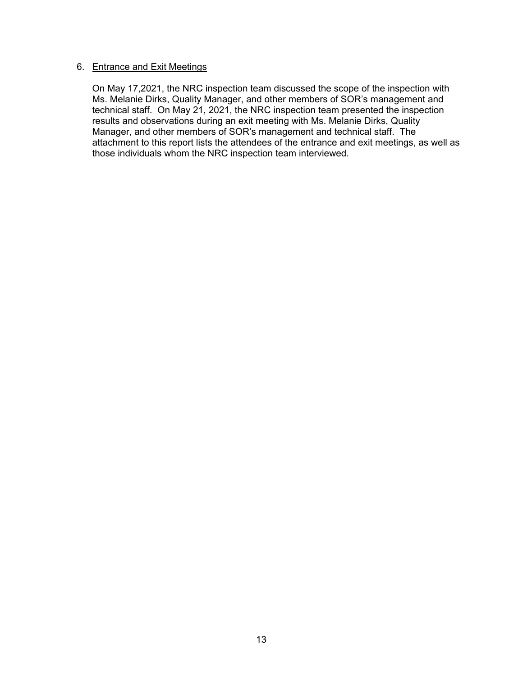#### 6. Entrance and Exit Meetings

On May 17,2021, the NRC inspection team discussed the scope of the inspection with Ms. Melanie Dirks, Quality Manager, and other members of SOR's management and technical staff. On May 21, 2021, the NRC inspection team presented the inspection results and observations during an exit meeting with Ms. Melanie Dirks, Quality Manager, and other members of SOR's management and technical staff. The attachment to this report lists the attendees of the entrance and exit meetings, as well as those individuals whom the NRC inspection team interviewed.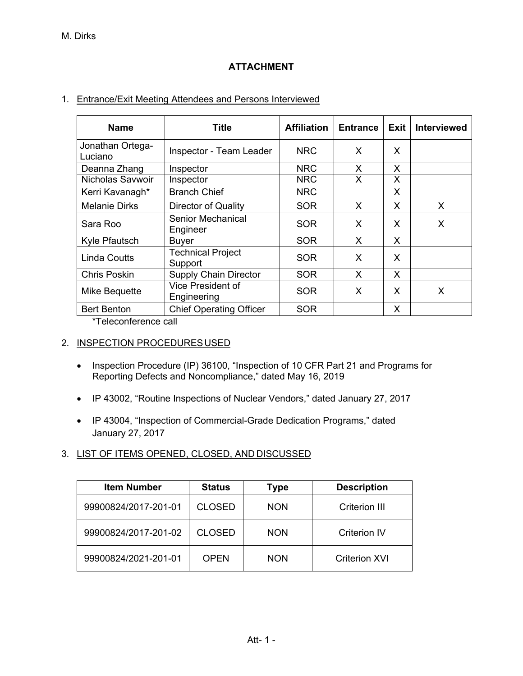# **ATTACHMENT**

# 1. Entrance/Exit Meeting Attendees and Persons Interviewed

| <b>Name</b>                 | <b>Title</b>                         | <b>Affiliation</b> | <b>Entrance</b> | Exit | <b>Interviewed</b> |
|-----------------------------|--------------------------------------|--------------------|-----------------|------|--------------------|
| Jonathan Ortega-<br>Luciano | Inspector - Team Leader              | <b>NRC</b>         | X.              | X    |                    |
| Deanna Zhang                | Inspector                            | <b>NRC</b>         | X               | X    |                    |
| <b>Nicholas Savwoir</b>     | Inspector                            | <b>NRC</b>         | X               | X    |                    |
| Kerri Kavanagh*             | <b>Branch Chief</b>                  | <b>NRC</b>         |                 | X    |                    |
| <b>Melanie Dirks</b>        | Director of Quality                  | <b>SOR</b>         | X.              | X    | X.                 |
| Sara Roo                    | <b>Senior Mechanical</b><br>Engineer | SOR                | X               | X    | X                  |
| Kyle Pfautsch               | Buyer                                | <b>SOR</b>         | X               | X    |                    |
| <b>Linda Coutts</b>         | <b>Technical Project</b><br>Support  | <b>SOR</b>         | X               | X    |                    |
| <b>Chris Poskin</b>         | <b>Supply Chain Director</b>         | <b>SOR</b>         | X               | X    |                    |
| Mike Bequette               | Vice President of<br>Engineering     | SOR                | X               | X    | X                  |
| <b>Bert Benton</b>          | <b>Chief Operating Officer</b>       | <b>SOR</b>         |                 | X    |                    |

\*Teleconference call

# 2. INSPECTION PROCEDURES USED

- Inspection Procedure (IP) 36100, "Inspection of 10 CFR Part 21 and Programs for Reporting Defects and Noncompliance," dated May 16, 2019
- IP 43002, "Routine Inspections of Nuclear Vendors," dated January 27, 2017
- IP 43004, "Inspection of Commercial-Grade Dedication Programs," dated January 27, 2017

# 3. LIST OF ITEMS OPENED, CLOSED, AND DISCUSSED

| <b>Item Number</b>   | <b>Status</b> | Type       | <b>Description</b> |
|----------------------|---------------|------------|--------------------|
| 99900824/2017-201-01 | <b>CLOSED</b> | <b>NON</b> | Criterion III      |
| 99900824/2017-201-02 | <b>CLOSED</b> | <b>NON</b> | Criterion IV       |
| 99900824/2021-201-01 | <b>OPEN</b>   | <b>NON</b> | Criterion XVI      |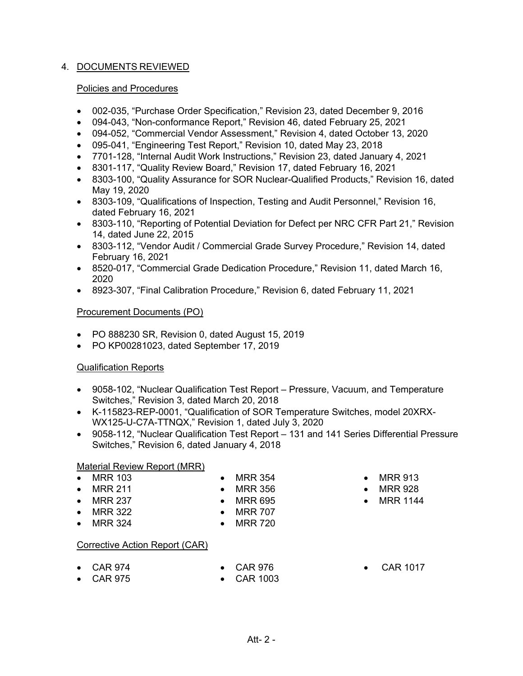# 4. DOCUMENTS REVIEWED

### Policies and Procedures

- 002-035, "Purchase Order Specification," Revision 23, dated December 9, 2016
- 094-043, "Non-conformance Report," Revision 46, dated February 25, 2021
- 094-052, "Commercial Vendor Assessment," Revision 4, dated October 13, 2020
- 095-041, "Engineering Test Report," Revision 10, dated May 23, 2018
- 7701-128, "Internal Audit Work Instructions," Revision 23, dated January 4, 2021
- 8301-117, "Quality Review Board," Revision 17, dated February 16, 2021
- 8303-100, "Quality Assurance for SOR Nuclear-Qualified Products," Revision 16, dated May 19, 2020
- 8303-109, "Qualifications of Inspection, Testing and Audit Personnel," Revision 16, dated February 16, 2021
- 8303-110, "Reporting of Potential Deviation for Defect per NRC CFR Part 21," Revision 14, dated June 22, 2015
- 8303-112, "Vendor Audit / Commercial Grade Survey Procedure," Revision 14, dated February 16, 2021
- 8520-017, "Commercial Grade Dedication Procedure," Revision 11, dated March 16, 2020
- 8923-307, "Final Calibration Procedure," Revision 6, dated February 11, 2021

### Procurement Documents (PO)

- PO 888230 SR, Revision 0, dated August 15, 2019
- PO KP00281023, dated September 17, 2019

# Qualification Reports

- 9058-102, "Nuclear Qualification Test Report Pressure, Vacuum, and Temperature Switches," Revision 3, dated March 20, 2018
- K-115823-REP-0001, "Qualification of SOR Temperature Switches, model 20XRX-WX125-U-C7A-TTNQX," Revision 1, dated July 3, 2020
- 9058-112, "Nuclear Qualification Test Report 131 and 141 Series Differential Pressure Switches," Revision 6, dated January 4, 2018

# Material Review Report (MRR)

- MRR 103
- MRR 211
- MRR 237
- MRR 322
- MRR 324

# Corrective Action Report (CAR)

 $\bullet$  CAR 974 • CAR 975

- CAR 976
- CAR 1003
- 
- CAR 1017

Att- 2 -

- MRR 913 • MRR 928
- - MRR 1144
- MRR 356  $-MRR 695$
- MRR 707

• MRR 354

- MRR 720
- 
- 
-